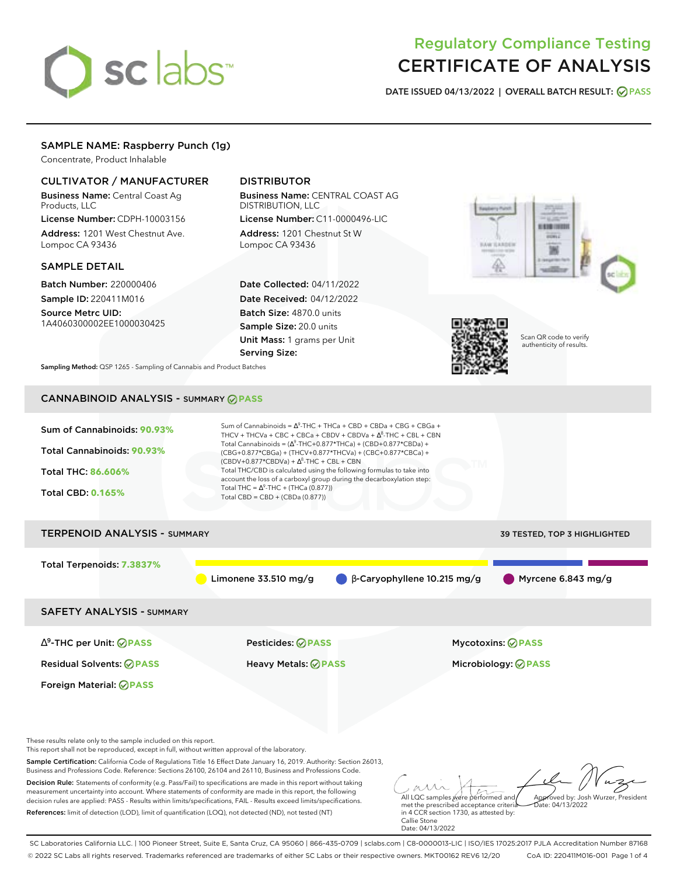# sclabs<sup>\*</sup>

# Regulatory Compliance Testing CERTIFICATE OF ANALYSIS

**DATE ISSUED 04/13/2022 | OVERALL BATCH RESULT: PASS**

# SAMPLE NAME: Raspberry Punch (1g)

Concentrate, Product Inhalable

# CULTIVATOR / MANUFACTURER

Business Name: Central Coast Ag Products, LLC

License Number: CDPH-10003156 Address: 1201 West Chestnut Ave. Lompoc CA 93436

# SAMPLE DETAIL

Batch Number: 220000406 Sample ID: 220411M016

Source Metrc UID: 1A4060300002EE1000030425

# DISTRIBUTOR

Business Name: CENTRAL COAST AG DISTRIBUTION, LLC License Number: C11-0000496-LIC

Address: 1201 Chestnut St W Lompoc CA 93436

Date Collected: 04/11/2022 Date Received: 04/12/2022 Batch Size: 4870.0 units Sample Size: 20.0 units Unit Mass: 1 grams per Unit Serving Size:





Scan QR code to verify authenticity of results.

**Sampling Method:** QSP 1265 - Sampling of Cannabis and Product Batches

# CANNABINOID ANALYSIS - SUMMARY **PASS**

| Sum of Cannabinoids: 90.93%<br>Total Cannabinoids: 90.93%<br>Total THC: 86.606%<br><b>Total CBD: 0.165%</b> | Sum of Cannabinoids = $\Delta^9$ -THC + THCa + CBD + CBDa + CBG + CBGa +<br>THCV + THCVa + CBC + CBCa + CBDV + CBDVa + $\Delta^8$ -THC + CBL + CBN<br>Total Cannabinoids = $(\Delta^9$ -THC+0.877*THCa) + (CBD+0.877*CBDa) +<br>(CBG+0.877*CBGa) + (THCV+0.877*THCVa) + (CBC+0.877*CBCa) +<br>$(CBDV+0.877*CBDVa) + \Delta^8$ -THC + CBL + CBN<br>Total THC/CBD is calculated using the following formulas to take into<br>account the loss of a carboxyl group during the decarboxylation step:<br>Total THC = $\Delta^9$ -THC + (THCa (0.877))<br>Total CBD = CBD + (CBDa $(0.877)$ ) |                                    |                              |
|-------------------------------------------------------------------------------------------------------------|-----------------------------------------------------------------------------------------------------------------------------------------------------------------------------------------------------------------------------------------------------------------------------------------------------------------------------------------------------------------------------------------------------------------------------------------------------------------------------------------------------------------------------------------------------------------------------------------|------------------------------------|------------------------------|
| <b>TERPENOID ANALYSIS - SUMMARY</b>                                                                         |                                                                                                                                                                                                                                                                                                                                                                                                                                                                                                                                                                                         |                                    | 39 TESTED, TOP 3 HIGHLIGHTED |
| Total Terpenoids: 7.3837%                                                                                   | Limonene $33.510$ mg/g                                                                                                                                                                                                                                                                                                                                                                                                                                                                                                                                                                  | $\beta$ -Caryophyllene 10.215 mg/g | Myrcene 6.843 mg/g           |
| <b>SAFETY ANALYSIS - SUMMARY</b>                                                                            |                                                                                                                                                                                                                                                                                                                                                                                                                                                                                                                                                                                         |                                    |                              |
| $\Delta^9$ -THC per Unit: $\bigcirc$ PASS                                                                   | <b>Pesticides: ⊘ PASS</b>                                                                                                                                                                                                                                                                                                                                                                                                                                                                                                                                                               | <b>Mycotoxins: ⊘PASS</b>           |                              |
| <b>Residual Solvents: ØPASS</b>                                                                             | <b>Heavy Metals: ⊘ PASS</b>                                                                                                                                                                                                                                                                                                                                                                                                                                                                                                                                                             |                                    | Microbiology: <b>⊘PASS</b>   |
| Foreign Material: <b>⊘ PASS</b>                                                                             |                                                                                                                                                                                                                                                                                                                                                                                                                                                                                                                                                                                         |                                    |                              |
| These results relate only to the sample included on this report.                                            |                                                                                                                                                                                                                                                                                                                                                                                                                                                                                                                                                                                         |                                    |                              |

This report shall not be reproduced, except in full, without written approval of the laboratory.

Sample Certification: California Code of Regulations Title 16 Effect Date January 16, 2019. Authority: Section 26013, Business and Professions Code. Reference: Sections 26100, 26104 and 26110, Business and Professions Code.

Decision Rule: Statements of conformity (e.g. Pass/Fail) to specifications are made in this report without taking measurement uncertainty into account. Where statements of conformity are made in this report, the following decision rules are applied: PASS - Results within limits/specifications, FAIL - Results exceed limits/specifications. References: limit of detection (LOD), limit of quantification (LOQ), not detected (ND), not tested (NT)

All LQC samples were performed and met the prescribed acceptance criteria Approved by: Josh Wurzer, President Date: 04/13/2022

in 4 CCR section 1730, as attested by: Callie Stone Date: 04/13/2022

SC Laboratories California LLC. | 100 Pioneer Street, Suite E, Santa Cruz, CA 95060 | 866-435-0709 | sclabs.com | C8-0000013-LIC | ISO/IES 17025:2017 PJLA Accreditation Number 87168 © 2022 SC Labs all rights reserved. Trademarks referenced are trademarks of either SC Labs or their respective owners. MKT00162 REV6 12/20 CoA ID: 220411M016-001 Page 1 of 4